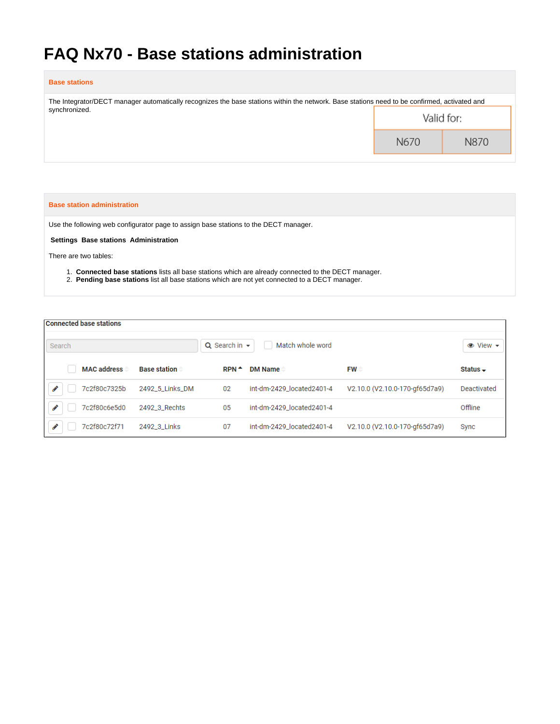# **FAQ Nx70 - Base stations administration**

## **Base stations**

| The Integrator/DECT manager automatically recognizes the base stations within the network. Base stations need to be confirmed, activated and |            |      |  |  |  |  |
|----------------------------------------------------------------------------------------------------------------------------------------------|------------|------|--|--|--|--|
| synchronized.                                                                                                                                | Valid for: |      |  |  |  |  |
|                                                                                                                                              | N670       | N870 |  |  |  |  |

#### **Base station administration**

Use the following web configurator page to assign base stations to the DECT manager.

**Settings Base stations Administration**

There are two tables:

- 1. **Connected base stations** lists all base stations which are already connected to the DECT manager.
- 2. **Pending base stations** list all base stations which are not yet connected to a DECT manager.

| <b>Connected base stations</b> |                     |                      |                           |                                |                          |
|--------------------------------|---------------------|----------------------|---------------------------|--------------------------------|--------------------------|
| Search                         |                     | $Q$ Search in $\sim$ | Match whole word          |                                | $\bullet$ View $\bullet$ |
| <b>MAC address</b>             | <b>Base station</b> | $RPN^*$              | <b>DM Name</b>            | $FW =$                         | Status $\sim$            |
| 7c2f80c7325b                   | 2492_5_Links_DM     | 02                   | int-dm-2429_located2401-4 | V2.10.0 (V2.10.0-170-gf65d7a9) | Deactivated              |
| 7c2f80c6e5d0                   | 2492_3_Rechts       | 05                   | int-dm-2429 located2401-4 |                                | Offline                  |
| 7c2f80c72f71                   | 2492_3_Links        | 07                   | int-dm-2429_located2401-4 | V2.10.0 (V2.10.0-170-gf65d7a9) | Sync                     |